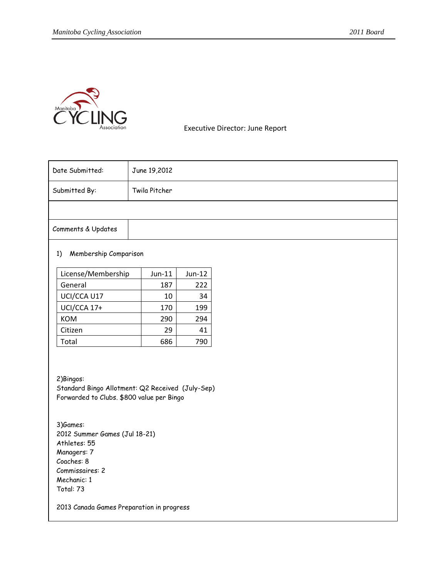

Executive Director: June Report

| Date Submitted:                                                                                                                                                                                                                                      | June 19,2012 |          |  |  |  |
|------------------------------------------------------------------------------------------------------------------------------------------------------------------------------------------------------------------------------------------------------|--------------|----------|--|--|--|
| Twila Pitcher<br>Submitted By:                                                                                                                                                                                                                       |              |          |  |  |  |
|                                                                                                                                                                                                                                                      |              |          |  |  |  |
| Comments & Updates                                                                                                                                                                                                                                   |              |          |  |  |  |
| Membership Comparison<br>1)                                                                                                                                                                                                                          |              |          |  |  |  |
| License/Membership                                                                                                                                                                                                                                   | $Jun-11$     | $Jun-12$ |  |  |  |
| General<br>187                                                                                                                                                                                                                                       |              | 222      |  |  |  |
| UCI/CCA U17<br>10                                                                                                                                                                                                                                    |              | 34       |  |  |  |
| UCI/CCA 17+                                                                                                                                                                                                                                          | 170          | 199      |  |  |  |
| KOM                                                                                                                                                                                                                                                  | 290          | 294      |  |  |  |
| Citizen                                                                                                                                                                                                                                              | 29           | 41       |  |  |  |
| Total                                                                                                                                                                                                                                                | 686          | 790      |  |  |  |
| 2) Bingos:<br>Standard Bingo Allotment: Q2 Received (July-Sep)<br>Forwarded to Clubs. \$800 value per Bingo<br>3)Games:<br>2012 Summer Games (Jul 18-21)<br>Athletes: 55<br>Managers: 7<br>Coaches: 8<br>Commissaires: 2<br>Mechanic: 1<br>Total: 73 |              |          |  |  |  |
| 2013 Canada Games Preparation in progress                                                                                                                                                                                                            |              |          |  |  |  |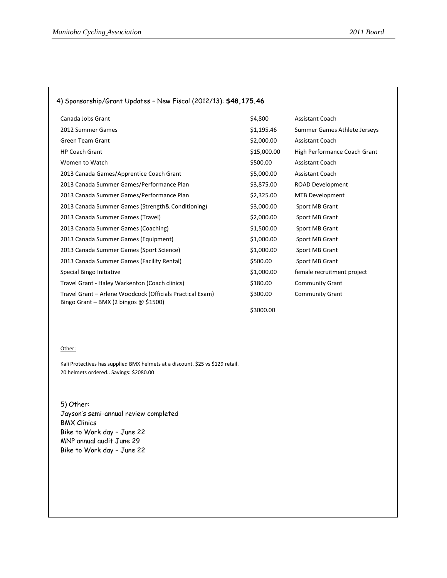| 4) Sponsorship/Grant Updates - New Fiscal (2012/13): \$48,175.46                                     |             |                              |
|------------------------------------------------------------------------------------------------------|-------------|------------------------------|
| Canada Jobs Grant                                                                                    | \$4,800     | <b>Assistant Coach</b>       |
| 2012 Summer Games                                                                                    | \$1,195.46  | Summer Games Athlete Jerseys |
| <b>Green Team Grant</b>                                                                              | \$2,000.00  | <b>Assistant Coach</b>       |
| <b>HP Coach Grant</b>                                                                                | \$15,000.00 | High Performance Coach Grant |
| Women to Watch                                                                                       | \$500.00    | <b>Assistant Coach</b>       |
| 2013 Canada Games/Apprentice Coach Grant                                                             | \$5,000.00  | <b>Assistant Coach</b>       |
| 2013 Canada Summer Games/Performance Plan                                                            | \$3,875.00  | <b>ROAD Development</b>      |
| 2013 Canada Summer Games/Performance Plan                                                            | \$2,325.00  | <b>MTB Development</b>       |
| 2013 Canada Summer Games (Strength & Conditioning)                                                   | \$3,000.00  | Sport MB Grant               |
| 2013 Canada Summer Games (Travel)                                                                    | \$2,000.00  | Sport MB Grant               |
| 2013 Canada Summer Games (Coaching)                                                                  | \$1,500.00  | Sport MB Grant               |
| 2013 Canada Summer Games (Equipment)                                                                 | \$1,000.00  | Sport MB Grant               |
| 2013 Canada Summer Games (Sport Science)                                                             | \$1,000.00  | Sport MB Grant               |
| 2013 Canada Summer Games (Facility Rental)                                                           | \$500.00    | Sport MB Grant               |
| Special Bingo Initiative                                                                             | \$1,000.00  | female recruitment project   |
| Travel Grant - Haley Warkenton (Coach clinics)                                                       | \$180.00    | <b>Community Grant</b>       |
| Travel Grant - Arlene Woodcock (Officials Practical Exam)<br>Bingo Grant - BMX (2 bingos $@$ \$1500) | \$300.00    | <b>Community Grant</b>       |
|                                                                                                      | \$3000.00   |                              |

## Other:

Kali Protectives has supplied BMX helmets at a discount. \$25 vs \$129 retail. 20 helmets ordered.. Savings: \$2080.00

5) Other: Jayson's semi-annual review completed BMX Clinics Bike to Work day – June 22 MNP annual audit June 29 Bike to Work day – June 22